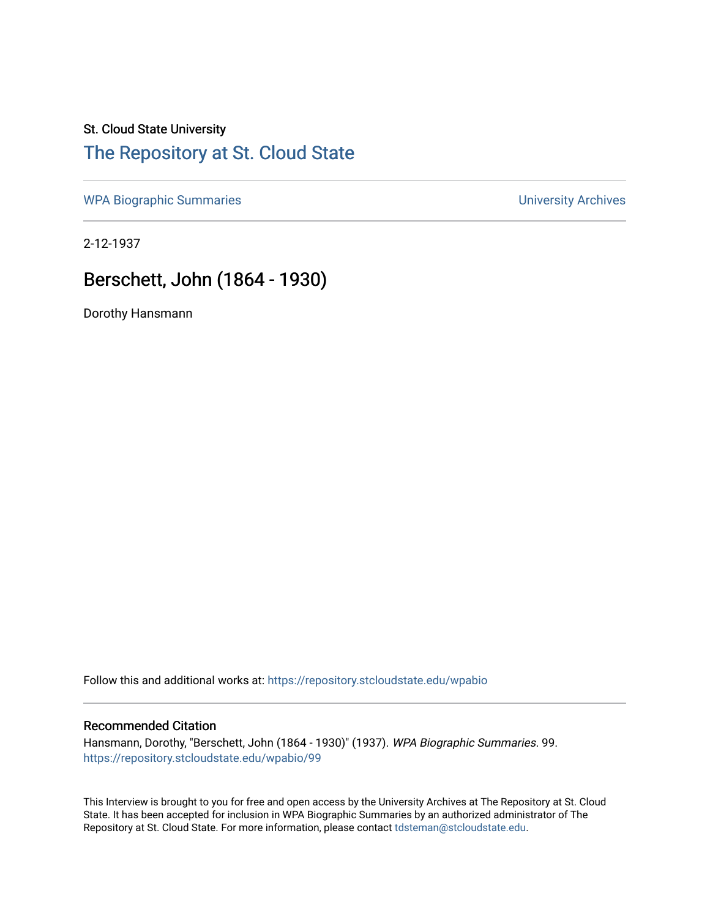## St. Cloud State University [The Repository at St. Cloud State](https://repository.stcloudstate.edu/)

[WPA Biographic Summaries](https://repository.stcloudstate.edu/wpabio) **WPA Biographic Summaries University Archives** 

2-12-1937

# Berschett, John (1864 - 1930)

Dorothy Hansmann

Follow this and additional works at: [https://repository.stcloudstate.edu/wpabio](https://repository.stcloudstate.edu/wpabio?utm_source=repository.stcloudstate.edu%2Fwpabio%2F99&utm_medium=PDF&utm_campaign=PDFCoverPages) 

#### Recommended Citation

Hansmann, Dorothy, "Berschett, John (1864 - 1930)" (1937). WPA Biographic Summaries. 99. [https://repository.stcloudstate.edu/wpabio/99](https://repository.stcloudstate.edu/wpabio/99?utm_source=repository.stcloudstate.edu%2Fwpabio%2F99&utm_medium=PDF&utm_campaign=PDFCoverPages)

This Interview is brought to you for free and open access by the University Archives at The Repository at St. Cloud State. It has been accepted for inclusion in WPA Biographic Summaries by an authorized administrator of The Repository at St. Cloud State. For more information, please contact [tdsteman@stcloudstate.edu.](mailto:tdsteman@stcloudstate.edu)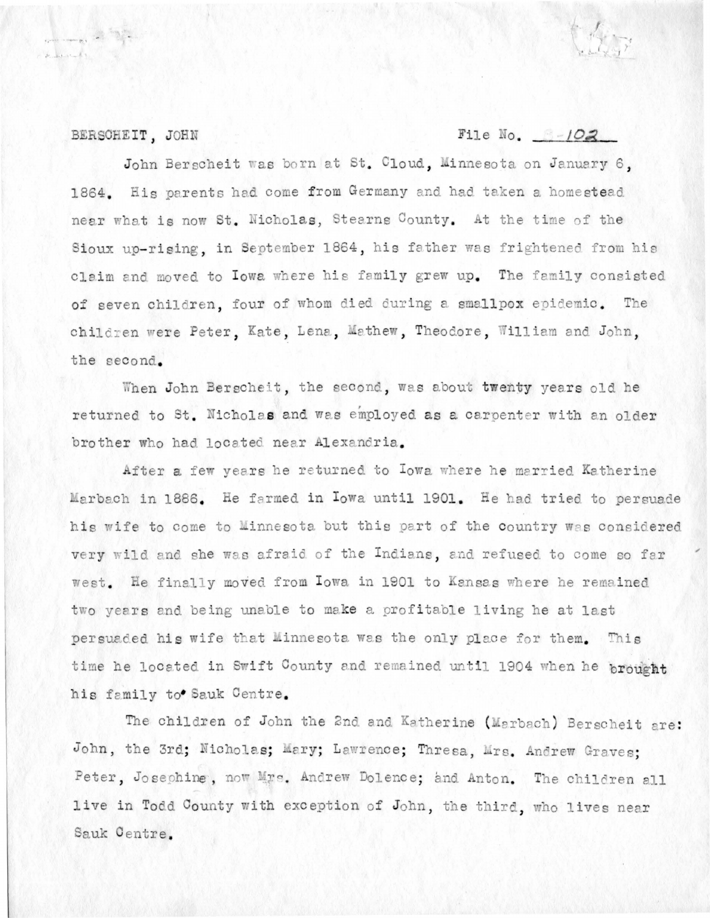#### BERSCHEIT, JOHN

## File No.  $3-102$

John Berscheit was born at St. Cloud. Minnesota on January 6. 1864. His parents had come from Germany and had taken a homestead near what is now St. Nicholas, Stearns County. At the time of the Sioux uo-rising, in September 1864, his father was frightened from his claim and moved to lowa where his family grew up. The family consisted of seven children, four of whom died during a smallpox epidemic. The children were Peter, Kate, Lena, Mathew, Theodore, William and John, the second.

When John Bergcheit, the second, was about twenty years old he returned to St. Nicholas and was employed as a carpenter with an older brother who had located near Alexandria.

After a few years he returned to Iowa where he married Katherine Marbach in 1886. He farmed in Iowa until 1901. He had tried to persuade his wife to come to Minnesota but this part of the country was considered very wild and she was afraid of the Indians, and refused to come so far west. He finally moved from Iowa in 1901 to Kansas where he remained two years and being unable to make a profitable living he at last persuaded his wife that Minnesota was the only place for them. This time he located in Swift County and remained until 1904 when he brought his family to Sauk Centre.

The children of John the 2nd and Katherine (Marbach) Berscheit are: John, the 3rd; Nicholas; Mary; Lawrence; Thresa, Mrs. Andrew Graves; Peter, Josephine, now Mrs. Andrew Dolence; and Anton. The children all live in Todd County with exception of John, the third, who lives near Sauk Centre.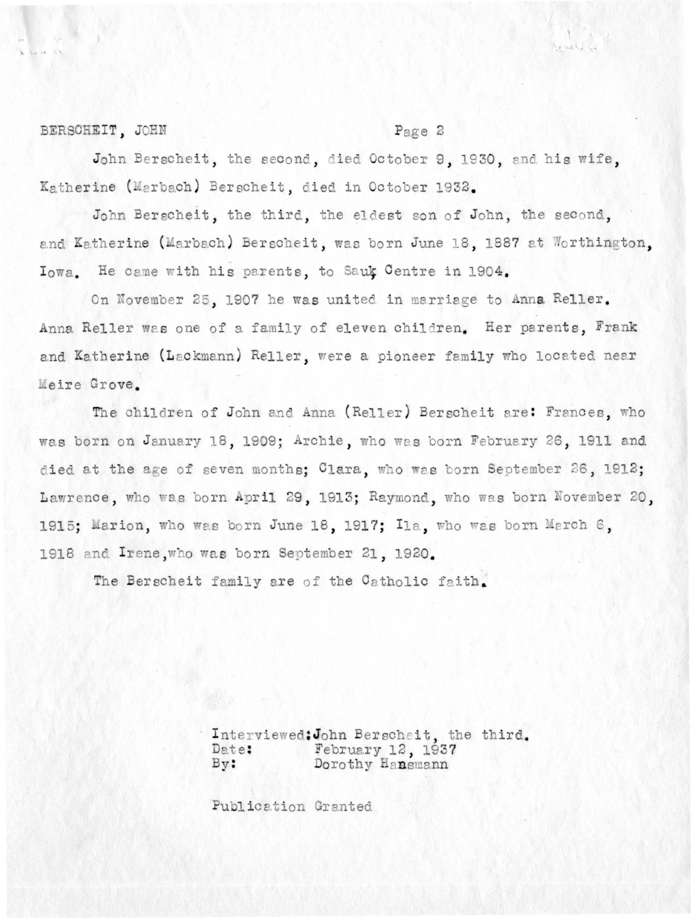## BERSCHEIT, JOHN

## Page 2

 $100 - 120$ 

John Berscheit, the second, died October 9, 1930, and his wife, Katherine (Marbach) Berscheit, died in October 1932.

John Berscheit, the third, the eldest son of John, the second, and Katherine (Marbach) Berscheit, was born June 18, 1887 at Worthington, Iowa. He came with his parents, to Sauk Centre in 1904.

On November 25, 1907 he was united in marriage to Anna Reller. Anna Reller was one of a family of eleven children. Her parents, Frank and Katherine (Lackmann) Reller, were a pioneer family who located near Meire Grove.

The children of John and Anna (Reller) Berscheit are: Frances, who was born on January 18, 1909; Archie, who was born February 26, 1911 and died at the age of seven months; Clara, who was born September 26, 1912; Lawrence, who was born April 29, 1913; Raymond, who was born November 20, 1915; Marion, who was born June 18, 1917; Ila, who was born March 6, 1918 and Irene, who was born September 21, 1920.

The Berscheit family are of the Catholic faith.

Interviewed: John Berscheit, the third. February 12, 1937<br>Dorothy Hansmann Date: By:

Publication Granted